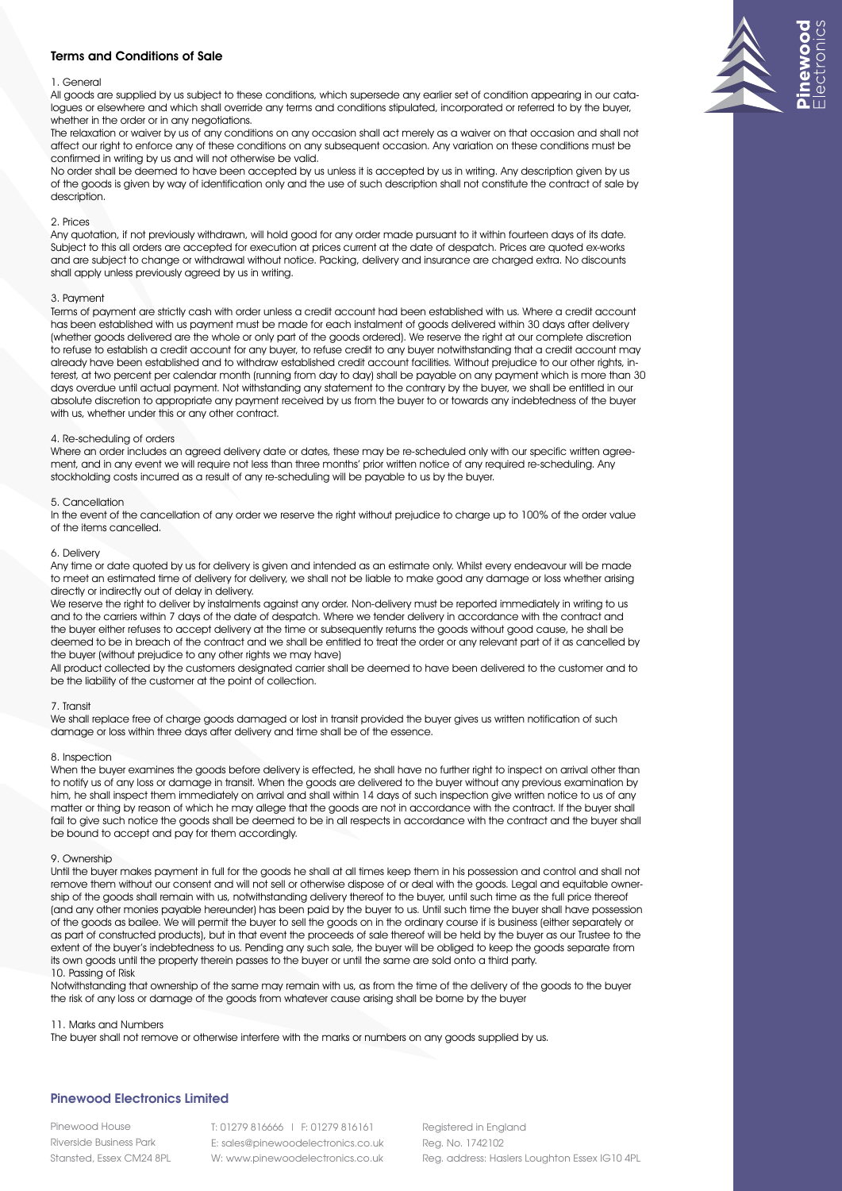## Terms and Conditions of Sale

## 1. General

All goods are supplied by us subject to these conditions, which supersede any earlier set of condition appearing in our catalogues or elsewhere and which shall override any terms and conditions stipulated, incorporated or referred to by the buyer, whether in the order or in any negotiations.

The relaxation or waiver by us of any conditions on any occasion shall act merely as a waiver on that occasion and shall not affect our right to enforce any of these conditions on any subsequent occasion. Any variation on these conditions must be confirmed in writing by us and will not otherwise be valid.

No order shall be deemed to have been accepted by us unless it is accepted by us in writing. Any description given by us of the goods is given by way of identification only and the use of such description shall not constitute the contract of sale by description.

### 2. Prices

Any quotation, if not previously withdrawn, will hold good for any order made pursuant to it within fourteen days of its date. Subject to this all orders are accepted for execution at prices current at the date of despatch. Prices are quoted ex-works and are subject to change or withdrawal without notice. Packing, delivery and insurance are charged extra. No discounts shall apply unless previously agreed by us in writing.

#### 3. Payment

Terms of payment are strictly cash with order unless a credit account had been established with us. Where a credit account has been established with us payment must be made for each instalment of goods delivered within 30 days after delivery (whether goods delivered are the whole or only part of the goods ordered). We reserve the right at our complete discretion to refuse to establish a credit account for any buyer, to refuse credit to any buyer notwithstanding that a credit account may already have been established and to withdraw established credit account facilities. Without prejudice to our other rights, interest, at two percent per calendar month (running from day to day) shall be payable on any payment which is more than 30 days overdue until actual payment. Not withstanding any statement to the contrary by the buyer, we shall be entitled in our absolute discretion to appropriate any payment received by us from the buyer to or towards any indebtedness of the buyer with us, whether under this or any other contract.

#### 4. Re-scheduling of orders

Where an order includes an agreed delivery date or dates, these may be re-scheduled only with our specific written agreement, and in any event we will require not less than three months' prior written notice of any required re-scheduling. Any stockholding costs incurred as a result of any re-scheduling will be payable to us by the buyer.

## 5. Cancellation

In the event of the cancellation of any order we reserve the right without prejudice to charge up to 100% of the order value of the items cancelled.

## 6. Delivery

Any time or date quoted by us for delivery is given and intended as an estimate only. Whilst every endeavour will be made to meet an estimated time of delivery for delivery, we shall not be liable to make good any damage or loss whether arising directly or indirectly out of delay in delivery.

We reserve the right to deliver by instalments against any order. Non-delivery must be reported immediately in writing to us and to the carriers within 7 days of the date of despatch. Where we tender delivery in accordance with the contract and the buyer either refuses to accept delivery at the time or subsequently returns the goods without good cause, he shall be deemed to be in breach of the contract and we shall be entitled to treat the order or any relevant part of it as cancelled by the buyer (without prejudice to any other rights we may have)

All product collected by the customers designated carrier shall be deemed to have been delivered to the customer and to be the liability of the customer at the point of collection.

#### 7. Transit

We shall replace free of charge goods damaged or lost in transit provided the buyer gives us written notification of such damage or loss within three days after delivery and time shall be of the essence.

#### 8. Inspection

When the buyer examines the goods before delivery is effected, he shall have no further right to inspect on arrival other than to notify us of any loss or damage in transit. When the goods are delivered to the buyer without any previous examination by him, he shall inspect them immediately on arrival and shall within 14 days of such inspection give written notice to us of any matter or thing by reason of which he may allege that the goods are not in accordance with the contract. If the buyer shall fail to give such notice the goods shall be deemed to be in all respects in accordance with the contract and the buyer shall be bound to accept and pay for them accordingly.

#### 9. Ownership

Until the buyer makes payment in full for the goods he shall at all times keep them in his possession and control and shall not remove them without our consent and will not sell or otherwise dispose of or deal with the goods. Legal and equitable ownership of the goods shall remain with us, notwithstanding delivery thereof to the buyer, until such time as the full price thereof (and any other monies payable hereunder) has been paid by the buyer to us. Until such time the buyer shall have possession of the goods as bailee. We will permit the buyer to sell the goods on in the ordinary course if is business (either separately or as part of constructed products), but in that event the proceeds of sale thereof will be held by the buyer as our Trustee to the extent of the buyer's indebtedness to us. Pending any such sale, the buyer will be obliged to keep the goods separate from its own goods until the property therein passes to the buyer or until the same are sold onto a third party. 10. Passing of Risk

Notwithstanding that ownership of the same may remain with us, as from the time of the delivery of the goods to the buyer the risk of any loss or damage of the goods from whatever cause arising shall be borne by the buyer

#### 11. Marks and Numbers

The buyer shall not remove or otherwise interfere with the marks or numbers on any goods supplied by us.

## Pinewood Electronics Limited Pinewood Electronics Limited Pinewood Electronics Limited

Pinewood House Pinewood House Riverside Business Park Riverside Business Park Stansted, Essex CM24 8PL Stansted, Essex CM24 8PL T: 01279 816666 | F: 01279 816161 T: 01279 816666 | F: 01279 816161 E: sales@pinewoodelectronics.co.uk W: www.pinewoodelectronics.co.uk Registered in England Registered in England Reg. No. 1742102 Reg. No. 1742102 Reg. address: Haslers Loughton Essex IG10 4PL